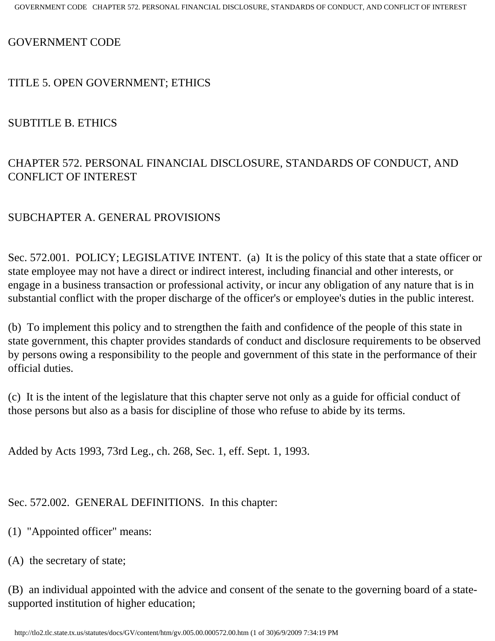GOVERNMENT CODE

#### TITLE 5. OPEN GOVERNMENT; ETHICS

#### SUBTITLE B. ETHICS

# CHAPTER 572. PERSONAL FINANCIAL DISCLOSURE, STANDARDS OF CONDUCT, AND CONFLICT OF INTEREST

### SUBCHAPTER A. GENERAL PROVISIONS

Sec. 572.001. POLICY; LEGISLATIVE INTENT. (a) It is the policy of this state that a state officer or state employee may not have a direct or indirect interest, including financial and other interests, or engage in a business transaction or professional activity, or incur any obligation of any nature that is in substantial conflict with the proper discharge of the officer's or employee's duties in the public interest.

(b) To implement this policy and to strengthen the faith and confidence of the people of this state in state government, this chapter provides standards of conduct and disclosure requirements to be observed by persons owing a responsibility to the people and government of this state in the performance of their official duties.

(c) It is the intent of the legislature that this chapter serve not only as a guide for official conduct of those persons but also as a basis for discipline of those who refuse to abide by its terms.

Added by Acts 1993, 73rd Leg., ch. 268, Sec. 1, eff. Sept. 1, 1993.

Sec. 572.002. GENERAL DEFINITIONS. In this chapter:

(1) "Appointed officer" means:

(A) the secretary of state;

(B) an individual appointed with the advice and consent of the senate to the governing board of a statesupported institution of higher education;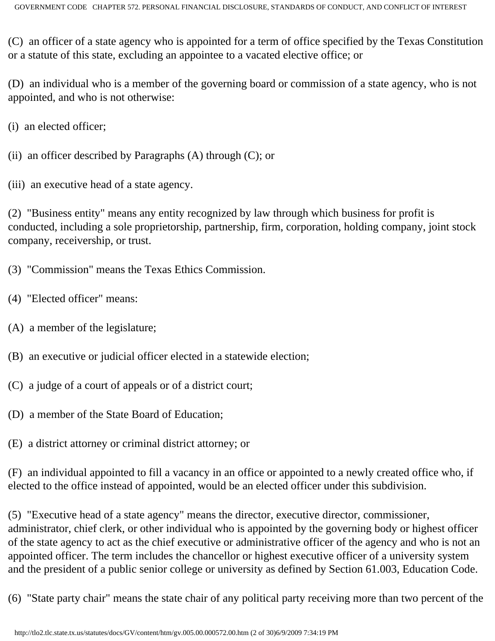(C) an officer of a state agency who is appointed for a term of office specified by the Texas Constitution or a statute of this state, excluding an appointee to a vacated elective office; or

(D) an individual who is a member of the governing board or commission of a state agency, who is not appointed, and who is not otherwise:

(i) an elected officer;

(ii) an officer described by Paragraphs  $(A)$  through  $(C)$ ; or

(iii) an executive head of a state agency.

(2) "Business entity" means any entity recognized by law through which business for profit is conducted, including a sole proprietorship, partnership, firm, corporation, holding company, joint stock company, receivership, or trust.

(3) "Commission" means the Texas Ethics Commission.

- (4) "Elected officer" means:
- (A) a member of the legislature;
- (B) an executive or judicial officer elected in a statewide election;
- (C) a judge of a court of appeals or of a district court;
- (D) a member of the State Board of Education;
- (E) a district attorney or criminal district attorney; or

(F) an individual appointed to fill a vacancy in an office or appointed to a newly created office who, if elected to the office instead of appointed, would be an elected officer under this subdivision.

(5) "Executive head of a state agency" means the director, executive director, commissioner, administrator, chief clerk, or other individual who is appointed by the governing body or highest officer of the state agency to act as the chief executive or administrative officer of the agency and who is not an appointed officer. The term includes the chancellor or highest executive officer of a university system and the president of a public senior college or university as defined by Section 61.003, Education Code.

(6) "State party chair" means the state chair of any political party receiving more than two percent of the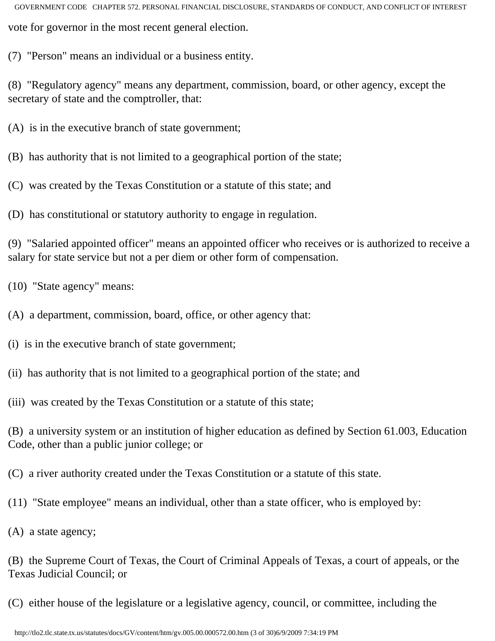GOVERNMENT CODE CHAPTER 572. PERSONAL FINANCIAL DISCLOSURE, STANDARDS OF CONDUCT, AND CONFLICT OF INTEREST vote for governor in the most recent general election.

(7) "Person" means an individual or a business entity.

(8) "Regulatory agency" means any department, commission, board, or other agency, except the secretary of state and the comptroller, that:

(A) is in the executive branch of state government;

(B) has authority that is not limited to a geographical portion of the state;

(C) was created by the Texas Constitution or a statute of this state; and

(D) has constitutional or statutory authority to engage in regulation.

(9) "Salaried appointed officer" means an appointed officer who receives or is authorized to receive a salary for state service but not a per diem or other form of compensation.

(10) "State agency" means:

(A) a department, commission, board, office, or other agency that:

(i) is in the executive branch of state government;

(ii) has authority that is not limited to a geographical portion of the state; and

(iii) was created by the Texas Constitution or a statute of this state;

(B) a university system or an institution of higher education as defined by Section 61.003, Education Code, other than a public junior college; or

(C) a river authority created under the Texas Constitution or a statute of this state.

(11) "State employee" means an individual, other than a state officer, who is employed by:

(A) a state agency;

(B) the Supreme Court of Texas, the Court of Criminal Appeals of Texas, a court of appeals, or the Texas Judicial Council; or

(C) either house of the legislature or a legislative agency, council, or committee, including the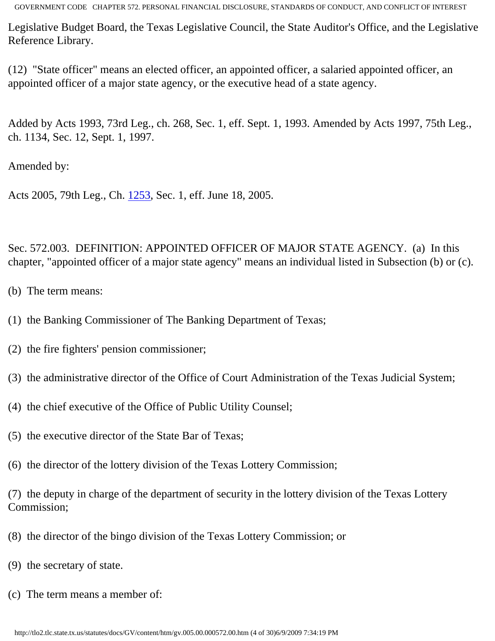Legislative Budget Board, the Texas Legislative Council, the State Auditor's Office, and the Legislative Reference Library.

(12) "State officer" means an elected officer, an appointed officer, a salaried appointed officer, an appointed officer of a major state agency, or the executive head of a state agency.

Added by Acts 1993, 73rd Leg., ch. 268, Sec. 1, eff. Sept. 1, 1993. Amended by Acts 1997, 75th Leg., ch. 1134, Sec. 12, Sept. 1, 1997.

Amended by:

Acts 2005, 79th Leg., Ch. [1253](http://www.legis.state.tx.us/tlodocs/79R/billtext/html/HB01945F.HTM), Sec. 1, eff. June 18, 2005.

Sec. 572.003. DEFINITION: APPOINTED OFFICER OF MAJOR STATE AGENCY. (a) In this chapter, "appointed officer of a major state agency" means an individual listed in Subsection (b) or (c).

- (b) The term means:
- (1) the Banking Commissioner of The Banking Department of Texas;
- (2) the fire fighters' pension commissioner;
- (3) the administrative director of the Office of Court Administration of the Texas Judicial System;
- (4) the chief executive of the Office of Public Utility Counsel;
- (5) the executive director of the State Bar of Texas;
- (6) the director of the lottery division of the Texas Lottery Commission;

(7) the deputy in charge of the department of security in the lottery division of the Texas Lottery Commission;

- (8) the director of the bingo division of the Texas Lottery Commission; or
- (9) the secretary of state.
- (c) The term means a member of: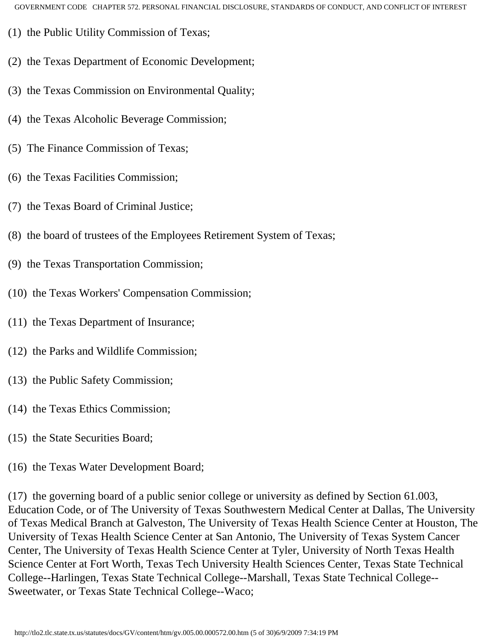- (1) the Public Utility Commission of Texas;
- (2) the Texas Department of Economic Development;
- (3) the Texas Commission on Environmental Quality;
- (4) the Texas Alcoholic Beverage Commission;
- (5) The Finance Commission of Texas;
- (6) the Texas Facilities Commission;
- (7) the Texas Board of Criminal Justice;
- (8) the board of trustees of the Employees Retirement System of Texas;
- (9) the Texas Transportation Commission;
- (10) the Texas Workers' Compensation Commission;
- (11) the Texas Department of Insurance;
- (12) the Parks and Wildlife Commission;
- (13) the Public Safety Commission;
- (14) the Texas Ethics Commission;
- (15) the State Securities Board;
- (16) the Texas Water Development Board;

(17) the governing board of a public senior college or university as defined by Section 61.003, Education Code, or of The University of Texas Southwestern Medical Center at Dallas, The University of Texas Medical Branch at Galveston, The University of Texas Health Science Center at Houston, The University of Texas Health Science Center at San Antonio, The University of Texas System Cancer Center, The University of Texas Health Science Center at Tyler, University of North Texas Health Science Center at Fort Worth, Texas Tech University Health Sciences Center, Texas State Technical College--Harlingen, Texas State Technical College--Marshall, Texas State Technical College-- Sweetwater, or Texas State Technical College--Waco;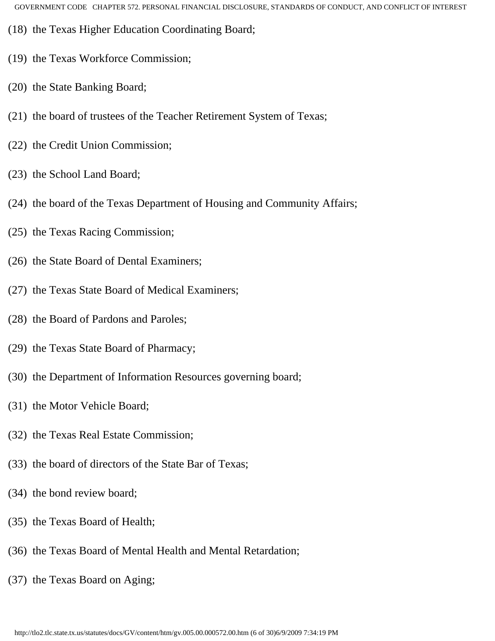- (18) the Texas Higher Education Coordinating Board;
- (19) the Texas Workforce Commission;
- (20) the State Banking Board;
- (21) the board of trustees of the Teacher Retirement System of Texas;
- (22) the Credit Union Commission;
- (23) the School Land Board;
- (24) the board of the Texas Department of Housing and Community Affairs;
- (25) the Texas Racing Commission;
- (26) the State Board of Dental Examiners;
- (27) the Texas State Board of Medical Examiners;
- (28) the Board of Pardons and Paroles;
- (29) the Texas State Board of Pharmacy;
- (30) the Department of Information Resources governing board;
- (31) the Motor Vehicle Board;
- (32) the Texas Real Estate Commission;
- (33) the board of directors of the State Bar of Texas;
- (34) the bond review board;
- (35) the Texas Board of Health;
- (36) the Texas Board of Mental Health and Mental Retardation;
- (37) the Texas Board on Aging;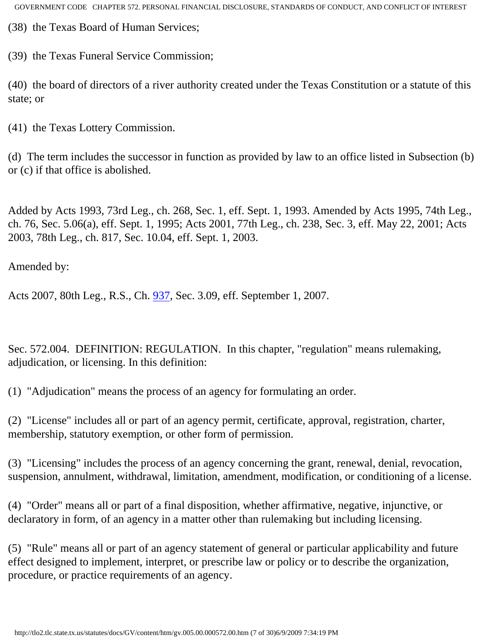(38) the Texas Board of Human Services;

(39) the Texas Funeral Service Commission;

(40) the board of directors of a river authority created under the Texas Constitution or a statute of this state; or

(41) the Texas Lottery Commission.

(d) The term includes the successor in function as provided by law to an office listed in Subsection (b) or (c) if that office is abolished.

Added by Acts 1993, 73rd Leg., ch. 268, Sec. 1, eff. Sept. 1, 1993. Amended by Acts 1995, 74th Leg., ch. 76, Sec. 5.06(a), eff. Sept. 1, 1995; Acts 2001, 77th Leg., ch. 238, Sec. 3, eff. May 22, 2001; Acts 2003, 78th Leg., ch. 817, Sec. 10.04, eff. Sept. 1, 2003.

Amended by:

Acts 2007, 80th Leg., R.S., Ch. [937](http://www.legis.state.tx.us/tlodocs/80R/billtext/html/HB03560F.HTM), Sec. 3.09, eff. September 1, 2007.

Sec. 572.004. DEFINITION: REGULATION. In this chapter, "regulation" means rulemaking, adjudication, or licensing. In this definition:

(1) "Adjudication" means the process of an agency for formulating an order.

(2) "License" includes all or part of an agency permit, certificate, approval, registration, charter, membership, statutory exemption, or other form of permission.

(3) "Licensing" includes the process of an agency concerning the grant, renewal, denial, revocation, suspension, annulment, withdrawal, limitation, amendment, modification, or conditioning of a license.

(4) "Order" means all or part of a final disposition, whether affirmative, negative, injunctive, or declaratory in form, of an agency in a matter other than rulemaking but including licensing.

(5) "Rule" means all or part of an agency statement of general or particular applicability and future effect designed to implement, interpret, or prescribe law or policy or to describe the organization, procedure, or practice requirements of an agency.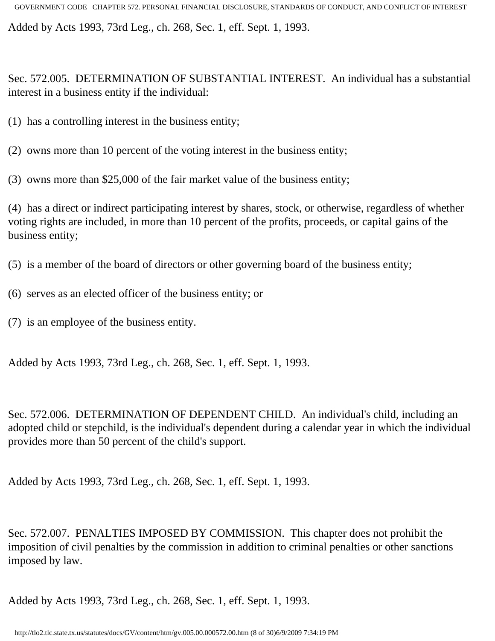Added by Acts 1993, 73rd Leg., ch. 268, Sec. 1, eff. Sept. 1, 1993.

Sec. 572.005. DETERMINATION OF SUBSTANTIAL INTEREST. An individual has a substantial interest in a business entity if the individual:

- (1) has a controlling interest in the business entity;
- (2) owns more than 10 percent of the voting interest in the business entity;
- (3) owns more than \$25,000 of the fair market value of the business entity;

(4) has a direct or indirect participating interest by shares, stock, or otherwise, regardless of whether voting rights are included, in more than 10 percent of the profits, proceeds, or capital gains of the business entity;

(5) is a member of the board of directors or other governing board of the business entity;

- (6) serves as an elected officer of the business entity; or
- (7) is an employee of the business entity.

Added by Acts 1993, 73rd Leg., ch. 268, Sec. 1, eff. Sept. 1, 1993.

Sec. 572.006. DETERMINATION OF DEPENDENT CHILD. An individual's child, including an adopted child or stepchild, is the individual's dependent during a calendar year in which the individual provides more than 50 percent of the child's support.

Added by Acts 1993, 73rd Leg., ch. 268, Sec. 1, eff. Sept. 1, 1993.

Sec. 572.007. PENALTIES IMPOSED BY COMMISSION. This chapter does not prohibit the imposition of civil penalties by the commission in addition to criminal penalties or other sanctions imposed by law.

Added by Acts 1993, 73rd Leg., ch. 268, Sec. 1, eff. Sept. 1, 1993.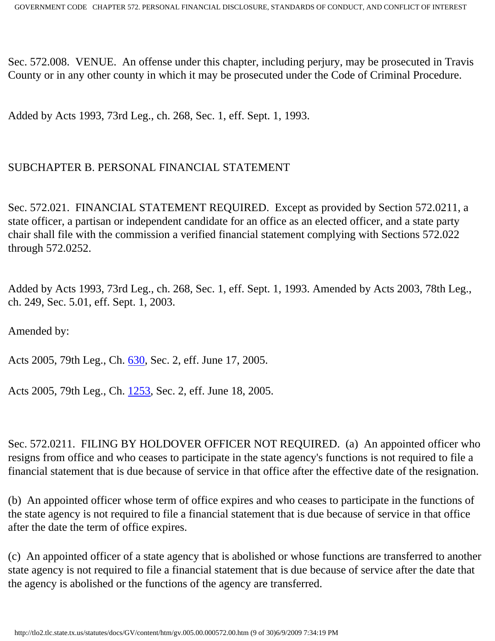Sec. 572.008. VENUE. An offense under this chapter, including perjury, may be prosecuted in Travis County or in any other county in which it may be prosecuted under the Code of Criminal Procedure.

Added by Acts 1993, 73rd Leg., ch. 268, Sec. 1, eff. Sept. 1, 1993.

### SUBCHAPTER B. PERSONAL FINANCIAL STATEMENT

Sec. 572.021. FINANCIAL STATEMENT REQUIRED. Except as provided by Section 572.0211, a state officer, a partisan or independent candidate for an office as an elected officer, and a state party chair shall file with the commission a verified financial statement complying with Sections 572.022 through 572.0252.

Added by Acts 1993, 73rd Leg., ch. 268, Sec. 1, eff. Sept. 1, 1993. Amended by Acts 2003, 78th Leg., ch. 249, Sec. 5.01, eff. Sept. 1, 2003.

Amended by:

Acts 2005, 79th Leg., Ch. [630](http://www.legis.state.tx.us/tlodocs/79R/billtext/html/HB02511F.HTM), Sec. 2, eff. June 17, 2005.

Acts 2005, 79th Leg., Ch. [1253](http://www.legis.state.tx.us/tlodocs/79R/billtext/html/HB01945F.HTM), Sec. 2, eff. June 18, 2005.

Sec. 572.0211. FILING BY HOLDOVER OFFICER NOT REQUIRED. (a) An appointed officer who resigns from office and who ceases to participate in the state agency's functions is not required to file a financial statement that is due because of service in that office after the effective date of the resignation.

(b) An appointed officer whose term of office expires and who ceases to participate in the functions of the state agency is not required to file a financial statement that is due because of service in that office after the date the term of office expires.

(c) An appointed officer of a state agency that is abolished or whose functions are transferred to another state agency is not required to file a financial statement that is due because of service after the date that the agency is abolished or the functions of the agency are transferred.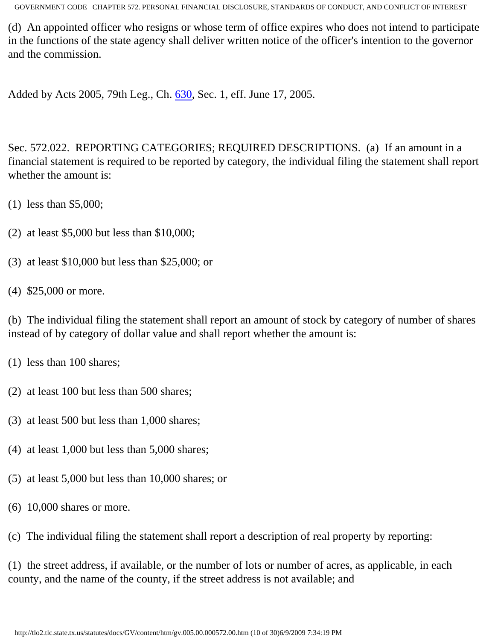(d) An appointed officer who resigns or whose term of office expires who does not intend to participate in the functions of the state agency shall deliver written notice of the officer's intention to the governor and the commission.

Added by Acts 2005, 79th Leg., Ch. [630](http://www.legis.state.tx.us/tlodocs/79R/billtext/html/HB02511F.HTM), Sec. 1, eff. June 17, 2005.

Sec. 572.022. REPORTING CATEGORIES; REQUIRED DESCRIPTIONS. (a) If an amount in a financial statement is required to be reported by category, the individual filing the statement shall report whether the amount is:

- (1) less than \$5,000;
- (2) at least \$5,000 but less than \$10,000;
- (3) at least \$10,000 but less than \$25,000; or
- (4) \$25,000 or more.

(b) The individual filing the statement shall report an amount of stock by category of number of shares instead of by category of dollar value and shall report whether the amount is:

- (1) less than 100 shares;
- (2) at least 100 but less than 500 shares;
- (3) at least 500 but less than 1,000 shares;
- (4) at least 1,000 but less than 5,000 shares;
- (5) at least 5,000 but less than 10,000 shares; or
- (6) 10,000 shares or more.

(c) The individual filing the statement shall report a description of real property by reporting:

(1) the street address, if available, or the number of lots or number of acres, as applicable, in each county, and the name of the county, if the street address is not available; and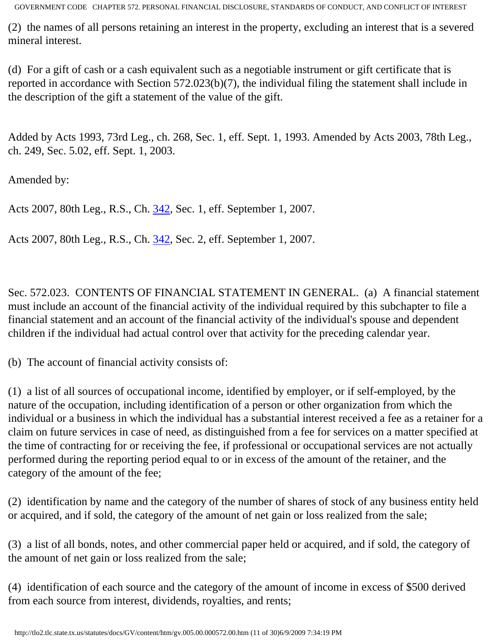(2) the names of all persons retaining an interest in the property, excluding an interest that is a severed mineral interest.

(d) For a gift of cash or a cash equivalent such as a negotiable instrument or gift certificate that is reported in accordance with Section 572.023(b)(7), the individual filing the statement shall include in the description of the gift a statement of the value of the gift.

Added by Acts 1993, 73rd Leg., ch. 268, Sec. 1, eff. Sept. 1, 1993. Amended by Acts 2003, 78th Leg., ch. 249, Sec. 5.02, eff. Sept. 1, 2003.

Amended by:

Acts 2007, 80th Leg., R.S., Ch. [342](http://www.legis.state.tx.us/tlodocs/80R/billtext/html/SB00129F.HTM), Sec. 1, eff. September 1, 2007.

Acts 2007, 80th Leg., R.S., Ch. [342](http://www.legis.state.tx.us/tlodocs/80R/billtext/html/SB00129F.HTM), Sec. 2, eff. September 1, 2007.

Sec. 572.023. CONTENTS OF FINANCIAL STATEMENT IN GENERAL. (a) A financial statement must include an account of the financial activity of the individual required by this subchapter to file a financial statement and an account of the financial activity of the individual's spouse and dependent children if the individual had actual control over that activity for the preceding calendar year.

(b) The account of financial activity consists of:

(1) a list of all sources of occupational income, identified by employer, or if self-employed, by the nature of the occupation, including identification of a person or other organization from which the individual or a business in which the individual has a substantial interest received a fee as a retainer for a claim on future services in case of need, as distinguished from a fee for services on a matter specified at the time of contracting for or receiving the fee, if professional or occupational services are not actually performed during the reporting period equal to or in excess of the amount of the retainer, and the category of the amount of the fee;

(2) identification by name and the category of the number of shares of stock of any business entity held or acquired, and if sold, the category of the amount of net gain or loss realized from the sale;

(3) a list of all bonds, notes, and other commercial paper held or acquired, and if sold, the category of the amount of net gain or loss realized from the sale;

(4) identification of each source and the category of the amount of income in excess of \$500 derived from each source from interest, dividends, royalties, and rents;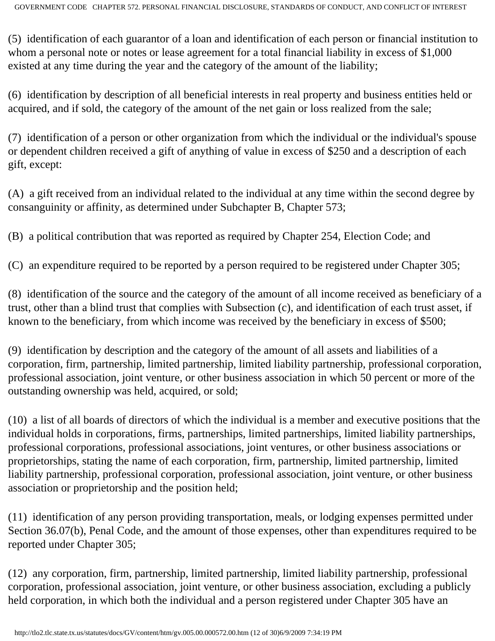(5) identification of each guarantor of a loan and identification of each person or financial institution to whom a personal note or notes or lease agreement for a total financial liability in excess of \$1,000 existed at any time during the year and the category of the amount of the liability;

(6) identification by description of all beneficial interests in real property and business entities held or acquired, and if sold, the category of the amount of the net gain or loss realized from the sale;

(7) identification of a person or other organization from which the individual or the individual's spouse or dependent children received a gift of anything of value in excess of \$250 and a description of each gift, except:

(A) a gift received from an individual related to the individual at any time within the second degree by consanguinity or affinity, as determined under Subchapter B, Chapter 573;

(B) a political contribution that was reported as required by Chapter 254, Election Code; and

(C) an expenditure required to be reported by a person required to be registered under Chapter 305;

(8) identification of the source and the category of the amount of all income received as beneficiary of a trust, other than a blind trust that complies with Subsection (c), and identification of each trust asset, if known to the beneficiary, from which income was received by the beneficiary in excess of \$500;

(9) identification by description and the category of the amount of all assets and liabilities of a corporation, firm, partnership, limited partnership, limited liability partnership, professional corporation, professional association, joint venture, or other business association in which 50 percent or more of the outstanding ownership was held, acquired, or sold;

(10) a list of all boards of directors of which the individual is a member and executive positions that the individual holds in corporations, firms, partnerships, limited partnerships, limited liability partnerships, professional corporations, professional associations, joint ventures, or other business associations or proprietorships, stating the name of each corporation, firm, partnership, limited partnership, limited liability partnership, professional corporation, professional association, joint venture, or other business association or proprietorship and the position held;

(11) identification of any person providing transportation, meals, or lodging expenses permitted under Section 36.07(b), Penal Code, and the amount of those expenses, other than expenditures required to be reported under Chapter 305;

(12) any corporation, firm, partnership, limited partnership, limited liability partnership, professional corporation, professional association, joint venture, or other business association, excluding a publicly held corporation, in which both the individual and a person registered under Chapter 305 have an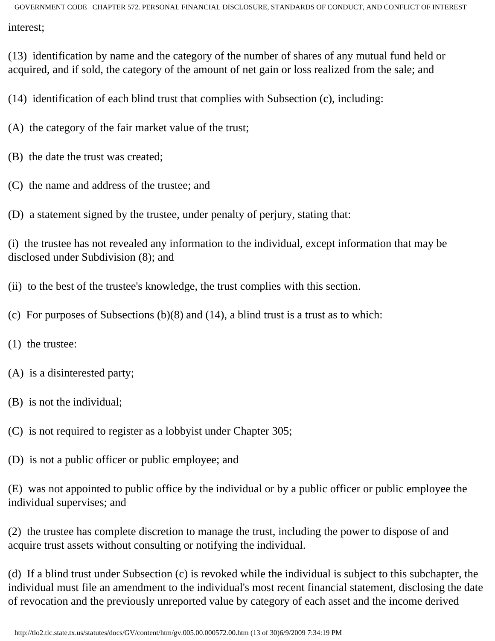(13) identification by name and the category of the number of shares of any mutual fund held or acquired, and if sold, the category of the amount of net gain or loss realized from the sale; and

(14) identification of each blind trust that complies with Subsection (c), including:

(A) the category of the fair market value of the trust;

- (B) the date the trust was created;
- (C) the name and address of the trustee; and

(D) a statement signed by the trustee, under penalty of perjury, stating that:

(i) the trustee has not revealed any information to the individual, except information that may be disclosed under Subdivision (8); and

(ii) to the best of the trustee's knowledge, the trust complies with this section.

(c) For purposes of Subsections (b)(8) and (14), a blind trust is a trust as to which:

- (1) the trustee:
- (A) is a disinterested party;
- (B) is not the individual;
- (C) is not required to register as a lobbyist under Chapter 305;
- (D) is not a public officer or public employee; and

(E) was not appointed to public office by the individual or by a public officer or public employee the individual supervises; and

(2) the trustee has complete discretion to manage the trust, including the power to dispose of and acquire trust assets without consulting or notifying the individual.

(d) If a blind trust under Subsection (c) is revoked while the individual is subject to this subchapter, the individual must file an amendment to the individual's most recent financial statement, disclosing the date of revocation and the previously unreported value by category of each asset and the income derived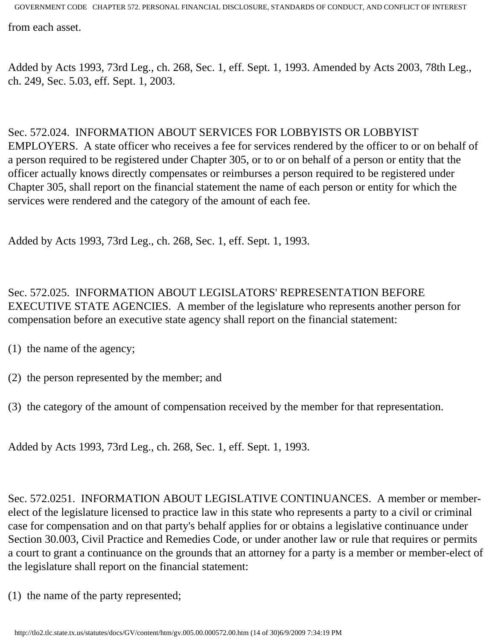from each asset.

Added by Acts 1993, 73rd Leg., ch. 268, Sec. 1, eff. Sept. 1, 1993. Amended by Acts 2003, 78th Leg., ch. 249, Sec. 5.03, eff. Sept. 1, 2003.

#### Sec. 572.024. INFORMATION ABOUT SERVICES FOR LOBBYISTS OR LOBBYIST

EMPLOYERS. A state officer who receives a fee for services rendered by the officer to or on behalf of a person required to be registered under Chapter 305, or to or on behalf of a person or entity that the officer actually knows directly compensates or reimburses a person required to be registered under Chapter 305, shall report on the financial statement the name of each person or entity for which the services were rendered and the category of the amount of each fee.

Added by Acts 1993, 73rd Leg., ch. 268, Sec. 1, eff. Sept. 1, 1993.

Sec. 572.025. INFORMATION ABOUT LEGISLATORS' REPRESENTATION BEFORE EXECUTIVE STATE AGENCIES. A member of the legislature who represents another person for compensation before an executive state agency shall report on the financial statement:

- (1) the name of the agency;
- (2) the person represented by the member; and
- (3) the category of the amount of compensation received by the member for that representation.

Added by Acts 1993, 73rd Leg., ch. 268, Sec. 1, eff. Sept. 1, 1993.

Sec. 572.0251. INFORMATION ABOUT LEGISLATIVE CONTINUANCES. A member or memberelect of the legislature licensed to practice law in this state who represents a party to a civil or criminal case for compensation and on that party's behalf applies for or obtains a legislative continuance under Section 30.003, Civil Practice and Remedies Code, or under another law or rule that requires or permits a court to grant a continuance on the grounds that an attorney for a party is a member or member-elect of the legislature shall report on the financial statement:

(1) the name of the party represented;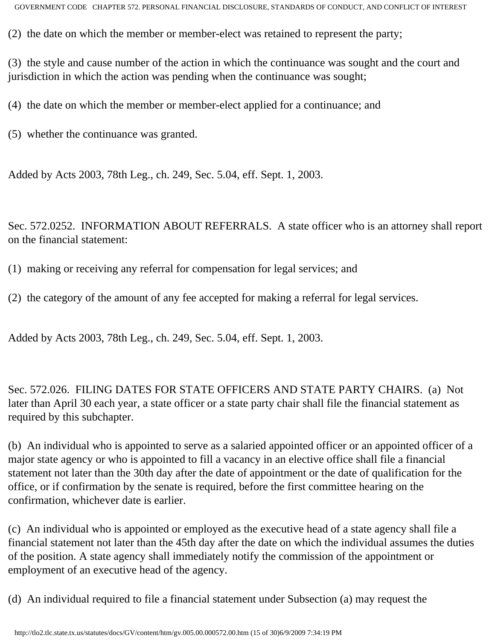(2) the date on which the member or member-elect was retained to represent the party;

(3) the style and cause number of the action in which the continuance was sought and the court and jurisdiction in which the action was pending when the continuance was sought;

(4) the date on which the member or member-elect applied for a continuance; and

(5) whether the continuance was granted.

Added by Acts 2003, 78th Leg., ch. 249, Sec. 5.04, eff. Sept. 1, 2003.

Sec. 572.0252. INFORMATION ABOUT REFERRALS. A state officer who is an attorney shall report on the financial statement:

- (1) making or receiving any referral for compensation for legal services; and
- (2) the category of the amount of any fee accepted for making a referral for legal services.

Added by Acts 2003, 78th Leg., ch. 249, Sec. 5.04, eff. Sept. 1, 2003.

Sec. 572.026. FILING DATES FOR STATE OFFICERS AND STATE PARTY CHAIRS. (a) Not later than April 30 each year, a state officer or a state party chair shall file the financial statement as required by this subchapter.

(b) An individual who is appointed to serve as a salaried appointed officer or an appointed officer of a major state agency or who is appointed to fill a vacancy in an elective office shall file a financial statement not later than the 30th day after the date of appointment or the date of qualification for the office, or if confirmation by the senate is required, before the first committee hearing on the confirmation, whichever date is earlier.

(c) An individual who is appointed or employed as the executive head of a state agency shall file a financial statement not later than the 45th day after the date on which the individual assumes the duties of the position. A state agency shall immediately notify the commission of the appointment or employment of an executive head of the agency.

(d) An individual required to file a financial statement under Subsection (a) may request the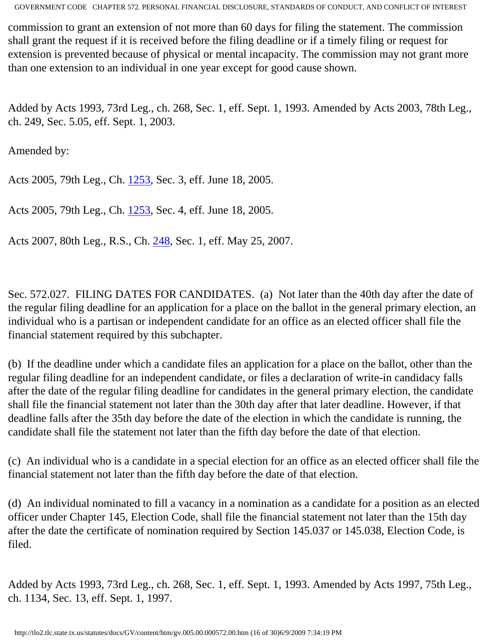commission to grant an extension of not more than 60 days for filing the statement. The commission shall grant the request if it is received before the filing deadline or if a timely filing or request for extension is prevented because of physical or mental incapacity. The commission may not grant more than one extension to an individual in one year except for good cause shown.

Added by Acts 1993, 73rd Leg., ch. 268, Sec. 1, eff. Sept. 1, 1993. Amended by Acts 2003, 78th Leg., ch. 249, Sec. 5.05, eff. Sept. 1, 2003.

Amended by:

Acts 2005, 79th Leg., Ch. [1253](http://www.legis.state.tx.us/tlodocs/79R/billtext/html/HB01945F.HTM), Sec. 3, eff. June 18, 2005.

Acts 2005, 79th Leg., Ch. [1253](http://www.legis.state.tx.us/tlodocs/79R/billtext/html/HB01945F.HTM), Sec. 4, eff. June 18, 2005.

Acts 2007, 80th Leg., R.S., Ch. [248](http://www.legis.state.tx.us/tlodocs/80R/billtext/html/HB02839F.HTM), Sec. 1, eff. May 25, 2007.

Sec. 572.027. FILING DATES FOR CANDIDATES. (a) Not later than the 40th day after the date of the regular filing deadline for an application for a place on the ballot in the general primary election, an individual who is a partisan or independent candidate for an office as an elected officer shall file the financial statement required by this subchapter.

(b) If the deadline under which a candidate files an application for a place on the ballot, other than the regular filing deadline for an independent candidate, or files a declaration of write-in candidacy falls after the date of the regular filing deadline for candidates in the general primary election, the candidate shall file the financial statement not later than the 30th day after that later deadline. However, if that deadline falls after the 35th day before the date of the election in which the candidate is running, the candidate shall file the statement not later than the fifth day before the date of that election.

(c) An individual who is a candidate in a special election for an office as an elected officer shall file the financial statement not later than the fifth day before the date of that election.

(d) An individual nominated to fill a vacancy in a nomination as a candidate for a position as an elected officer under Chapter 145, Election Code, shall file the financial statement not later than the 15th day after the date the certificate of nomination required by Section 145.037 or 145.038, Election Code, is filed.

Added by Acts 1993, 73rd Leg., ch. 268, Sec. 1, eff. Sept. 1, 1993. Amended by Acts 1997, 75th Leg., ch. 1134, Sec. 13, eff. Sept. 1, 1997.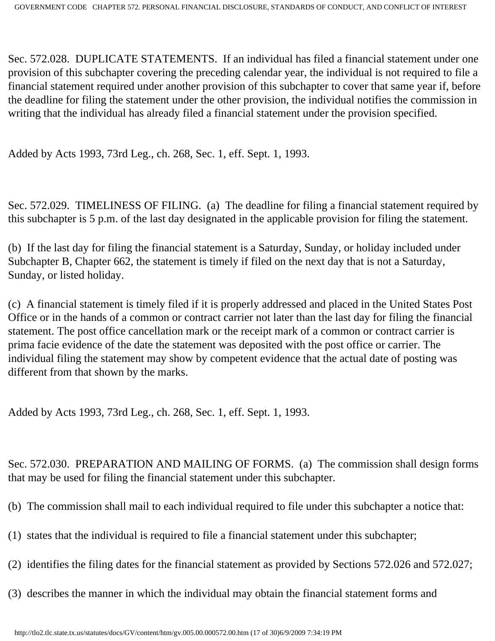Sec. 572.028. DUPLICATE STATEMENTS. If an individual has filed a financial statement under one provision of this subchapter covering the preceding calendar year, the individual is not required to file a financial statement required under another provision of this subchapter to cover that same year if, before the deadline for filing the statement under the other provision, the individual notifies the commission in writing that the individual has already filed a financial statement under the provision specified.

Added by Acts 1993, 73rd Leg., ch. 268, Sec. 1, eff. Sept. 1, 1993.

Sec. 572.029. TIMELINESS OF FILING. (a) The deadline for filing a financial statement required by this subchapter is 5 p.m. of the last day designated in the applicable provision for filing the statement.

(b) If the last day for filing the financial statement is a Saturday, Sunday, or holiday included under Subchapter B, Chapter 662, the statement is timely if filed on the next day that is not a Saturday, Sunday, or listed holiday.

(c) A financial statement is timely filed if it is properly addressed and placed in the United States Post Office or in the hands of a common or contract carrier not later than the last day for filing the financial statement. The post office cancellation mark or the receipt mark of a common or contract carrier is prima facie evidence of the date the statement was deposited with the post office or carrier. The individual filing the statement may show by competent evidence that the actual date of posting was different from that shown by the marks.

Added by Acts 1993, 73rd Leg., ch. 268, Sec. 1, eff. Sept. 1, 1993.

Sec. 572.030. PREPARATION AND MAILING OF FORMS. (a) The commission shall design forms that may be used for filing the financial statement under this subchapter.

- (b) The commission shall mail to each individual required to file under this subchapter a notice that:
- (1) states that the individual is required to file a financial statement under this subchapter;
- (2) identifies the filing dates for the financial statement as provided by Sections 572.026 and 572.027;
- (3) describes the manner in which the individual may obtain the financial statement forms and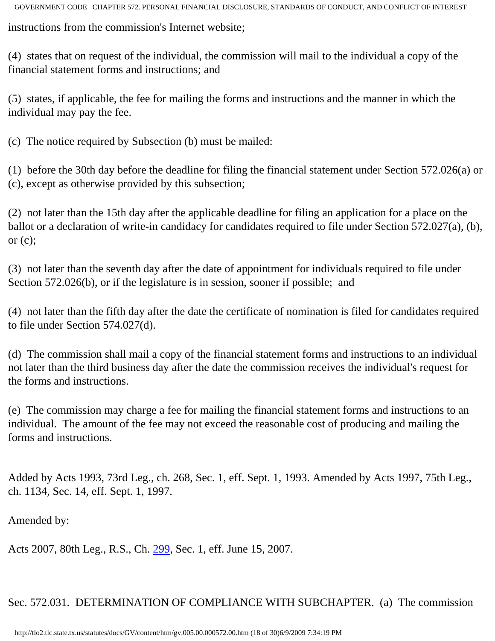instructions from the commission's Internet website;

(4) states that on request of the individual, the commission will mail to the individual a copy of the financial statement forms and instructions; and

(5) states, if applicable, the fee for mailing the forms and instructions and the manner in which the individual may pay the fee.

(c) The notice required by Subsection (b) must be mailed:

(1) before the 30th day before the deadline for filing the financial statement under Section 572.026(a) or (c), except as otherwise provided by this subsection;

(2) not later than the 15th day after the applicable deadline for filing an application for a place on the ballot or a declaration of write-in candidacy for candidates required to file under Section 572.027(a), (b), or  $(c)$ ;

(3) not later than the seventh day after the date of appointment for individuals required to file under Section 572.026(b), or if the legislature is in session, sooner if possible; and

(4) not later than the fifth day after the date the certificate of nomination is filed for candidates required to file under Section 574.027(d).

(d) The commission shall mail a copy of the financial statement forms and instructions to an individual not later than the third business day after the date the commission receives the individual's request for the forms and instructions.

(e) The commission may charge a fee for mailing the financial statement forms and instructions to an individual. The amount of the fee may not exceed the reasonable cost of producing and mailing the forms and instructions.

Added by Acts 1993, 73rd Leg., ch. 268, Sec. 1, eff. Sept. 1, 1993. Amended by Acts 1997, 75th Leg., ch. 1134, Sec. 14, eff. Sept. 1, 1997.

Amended by:

Acts 2007, 80th Leg., R.S., Ch. [299](http://www.legis.state.tx.us/tlodocs/80R/billtext/html/HB01652F.HTM), Sec. 1, eff. June 15, 2007.

Sec. 572.031. DETERMINATION OF COMPLIANCE WITH SUBCHAPTER. (a) The commission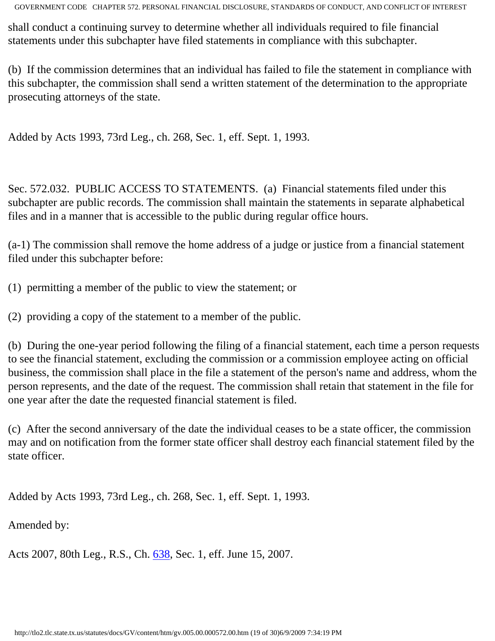shall conduct a continuing survey to determine whether all individuals required to file financial statements under this subchapter have filed statements in compliance with this subchapter.

(b) If the commission determines that an individual has failed to file the statement in compliance with this subchapter, the commission shall send a written statement of the determination to the appropriate prosecuting attorneys of the state.

Added by Acts 1993, 73rd Leg., ch. 268, Sec. 1, eff. Sept. 1, 1993.

Sec. 572.032. PUBLIC ACCESS TO STATEMENTS. (a) Financial statements filed under this subchapter are public records. The commission shall maintain the statements in separate alphabetical files and in a manner that is accessible to the public during regular office hours.

(a-1) The commission shall remove the home address of a judge or justice from a financial statement filed under this subchapter before:

(1) permitting a member of the public to view the statement; or

(2) providing a copy of the statement to a member of the public.

(b) During the one-year period following the filing of a financial statement, each time a person requests to see the financial statement, excluding the commission or a commission employee acting on official business, the commission shall place in the file a statement of the person's name and address, whom the person represents, and the date of the request. The commission shall retain that statement in the file for one year after the date the requested financial statement is filed.

(c) After the second anniversary of the date the individual ceases to be a state officer, the commission may and on notification from the former state officer shall destroy each financial statement filed by the state officer.

Added by Acts 1993, 73rd Leg., ch. 268, Sec. 1, eff. Sept. 1, 1993.

Amended by:

Acts 2007, 80th Leg., R.S., Ch. [638](http://www.legis.state.tx.us/tlodocs/80R/billtext/html/HB00842F.HTM), Sec. 1, eff. June 15, 2007.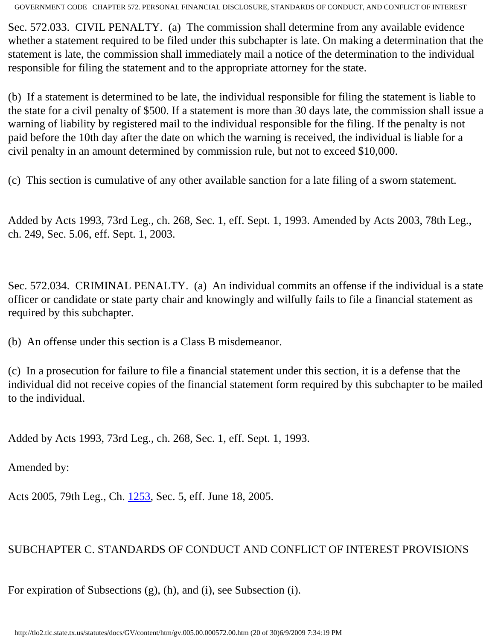Sec. 572.033. CIVIL PENALTY. (a) The commission shall determine from any available evidence whether a statement required to be filed under this subchapter is late. On making a determination that the statement is late, the commission shall immediately mail a notice of the determination to the individual responsible for filing the statement and to the appropriate attorney for the state.

(b) If a statement is determined to be late, the individual responsible for filing the statement is liable to the state for a civil penalty of \$500. If a statement is more than 30 days late, the commission shall issue a warning of liability by registered mail to the individual responsible for the filing. If the penalty is not paid before the 10th day after the date on which the warning is received, the individual is liable for a civil penalty in an amount determined by commission rule, but not to exceed \$10,000.

(c) This section is cumulative of any other available sanction for a late filing of a sworn statement.

Added by Acts 1993, 73rd Leg., ch. 268, Sec. 1, eff. Sept. 1, 1993. Amended by Acts 2003, 78th Leg., ch. 249, Sec. 5.06, eff. Sept. 1, 2003.

Sec. 572.034. CRIMINAL PENALTY. (a) An individual commits an offense if the individual is a state officer or candidate or state party chair and knowingly and wilfully fails to file a financial statement as required by this subchapter.

(b) An offense under this section is a Class B misdemeanor.

(c) In a prosecution for failure to file a financial statement under this section, it is a defense that the individual did not receive copies of the financial statement form required by this subchapter to be mailed to the individual.

Added by Acts 1993, 73rd Leg., ch. 268, Sec. 1, eff. Sept. 1, 1993.

Amended by:

Acts 2005, 79th Leg., Ch. [1253](http://www.legis.state.tx.us/tlodocs/79R/billtext/html/HB01945F.HTM), Sec. 5, eff. June 18, 2005.

# SUBCHAPTER C. STANDARDS OF CONDUCT AND CONFLICT OF INTEREST PROVISIONS

For expiration of Subsections (g), (h), and (i), see Subsection (i).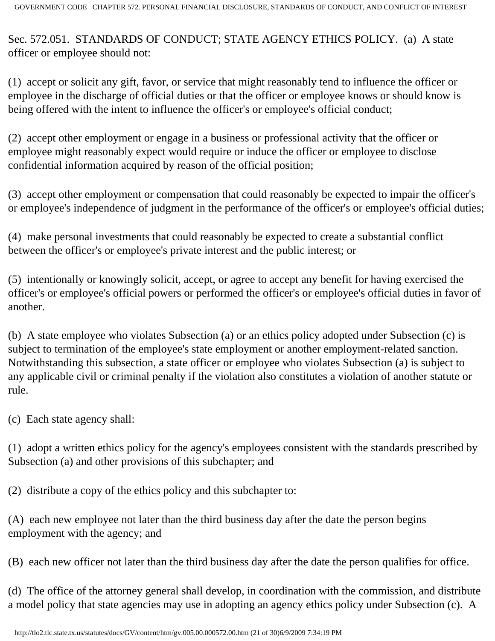Sec. 572.051. STANDARDS OF CONDUCT; STATE AGENCY ETHICS POLICY. (a) A state officer or employee should not:

(1) accept or solicit any gift, favor, or service that might reasonably tend to influence the officer or employee in the discharge of official duties or that the officer or employee knows or should know is being offered with the intent to influence the officer's or employee's official conduct;

(2) accept other employment or engage in a business or professional activity that the officer or employee might reasonably expect would require or induce the officer or employee to disclose confidential information acquired by reason of the official position;

(3) accept other employment or compensation that could reasonably be expected to impair the officer's or employee's independence of judgment in the performance of the officer's or employee's official duties;

(4) make personal investments that could reasonably be expected to create a substantial conflict between the officer's or employee's private interest and the public interest; or

(5) intentionally or knowingly solicit, accept, or agree to accept any benefit for having exercised the officer's or employee's official powers or performed the officer's or employee's official duties in favor of another.

(b) A state employee who violates Subsection (a) or an ethics policy adopted under Subsection (c) is subject to termination of the employee's state employment or another employment-related sanction. Notwithstanding this subsection, a state officer or employee who violates Subsection (a) is subject to any applicable civil or criminal penalty if the violation also constitutes a violation of another statute or rule.

(c) Each state agency shall:

(1) adopt a written ethics policy for the agency's employees consistent with the standards prescribed by Subsection (a) and other provisions of this subchapter; and

(2) distribute a copy of the ethics policy and this subchapter to:

(A) each new employee not later than the third business day after the date the person begins employment with the agency; and

(B) each new officer not later than the third business day after the date the person qualifies for office.

(d) The office of the attorney general shall develop, in coordination with the commission, and distribute a model policy that state agencies may use in adopting an agency ethics policy under Subsection (c). A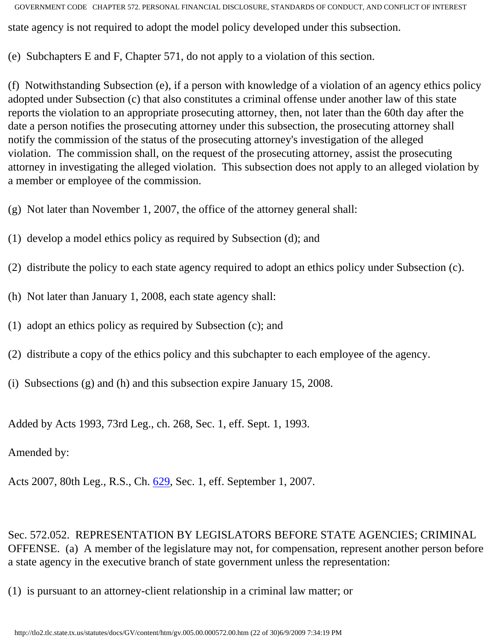GOVERNMENT CODE CHAPTER 572. PERSONAL FINANCIAL DISCLOSURE, STANDARDS OF CONDUCT, AND CONFLICT OF INTEREST state agency is not required to adopt the model policy developed under this subsection.

(e) Subchapters E and F, Chapter 571, do not apply to a violation of this section.

(f) Notwithstanding Subsection (e), if a person with knowledge of a violation of an agency ethics policy adopted under Subsection (c) that also constitutes a criminal offense under another law of this state reports the violation to an appropriate prosecuting attorney, then, not later than the 60th day after the date a person notifies the prosecuting attorney under this subsection, the prosecuting attorney shall notify the commission of the status of the prosecuting attorney's investigation of the alleged violation. The commission shall, on the request of the prosecuting attorney, assist the prosecuting attorney in investigating the alleged violation. This subsection does not apply to an alleged violation by a member or employee of the commission.

(g) Not later than November 1, 2007, the office of the attorney general shall:

(1) develop a model ethics policy as required by Subsection (d); and

(2) distribute the policy to each state agency required to adopt an ethics policy under Subsection (c).

(h) Not later than January 1, 2008, each state agency shall:

(1) adopt an ethics policy as required by Subsection (c); and

(2) distribute a copy of the ethics policy and this subchapter to each employee of the agency.

(i) Subsections (g) and (h) and this subsection expire January 15, 2008.

Added by Acts 1993, 73rd Leg., ch. 268, Sec. 1, eff. Sept. 1, 1993.

Amended by:

Acts 2007, 80th Leg., R.S., Ch. [629](http://www.legis.state.tx.us/tlodocs/80R/billtext/html/HB00590F.HTM), Sec. 1, eff. September 1, 2007.

Sec. 572.052. REPRESENTATION BY LEGISLATORS BEFORE STATE AGENCIES; CRIMINAL OFFENSE. (a) A member of the legislature may not, for compensation, represent another person before a state agency in the executive branch of state government unless the representation:

(1) is pursuant to an attorney-client relationship in a criminal law matter; or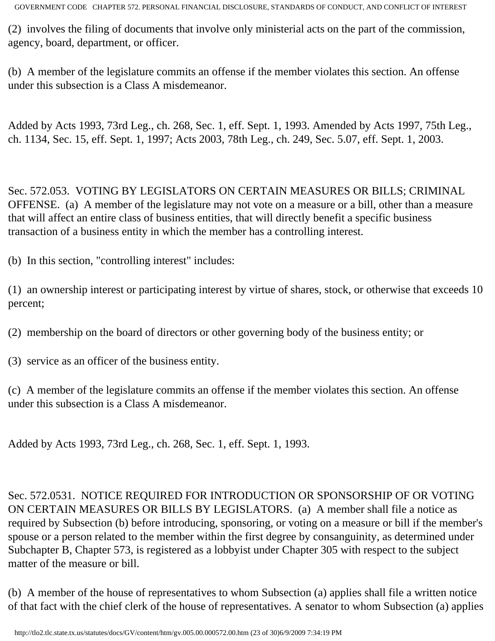(2) involves the filing of documents that involve only ministerial acts on the part of the commission, agency, board, department, or officer.

(b) A member of the legislature commits an offense if the member violates this section. An offense under this subsection is a Class A misdemeanor.

Added by Acts 1993, 73rd Leg., ch. 268, Sec. 1, eff. Sept. 1, 1993. Amended by Acts 1997, 75th Leg., ch. 1134, Sec. 15, eff. Sept. 1, 1997; Acts 2003, 78th Leg., ch. 249, Sec. 5.07, eff. Sept. 1, 2003.

Sec. 572.053. VOTING BY LEGISLATORS ON CERTAIN MEASURES OR BILLS; CRIMINAL OFFENSE. (a) A member of the legislature may not vote on a measure or a bill, other than a measure that will affect an entire class of business entities, that will directly benefit a specific business transaction of a business entity in which the member has a controlling interest.

(b) In this section, "controlling interest" includes:

(1) an ownership interest or participating interest by virtue of shares, stock, or otherwise that exceeds 10 percent;

(2) membership on the board of directors or other governing body of the business entity; or

(3) service as an officer of the business entity.

(c) A member of the legislature commits an offense if the member violates this section. An offense under this subsection is a Class A misdemeanor.

Added by Acts 1993, 73rd Leg., ch. 268, Sec. 1, eff. Sept. 1, 1993.

Sec. 572.0531. NOTICE REQUIRED FOR INTRODUCTION OR SPONSORSHIP OF OR VOTING ON CERTAIN MEASURES OR BILLS BY LEGISLATORS. (a) A member shall file a notice as required by Subsection (b) before introducing, sponsoring, or voting on a measure or bill if the member's spouse or a person related to the member within the first degree by consanguinity, as determined under Subchapter B, Chapter 573, is registered as a lobbyist under Chapter 305 with respect to the subject matter of the measure or bill.

(b) A member of the house of representatives to whom Subsection (a) applies shall file a written notice of that fact with the chief clerk of the house of representatives. A senator to whom Subsection (a) applies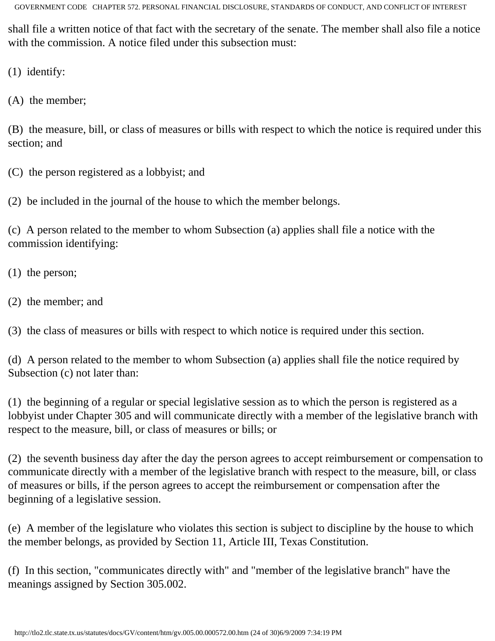shall file a written notice of that fact with the secretary of the senate. The member shall also file a notice with the commission. A notice filed under this subsection must:

(1) identify:

(A) the member;

(B) the measure, bill, or class of measures or bills with respect to which the notice is required under this section; and

(C) the person registered as a lobbyist; and

(2) be included in the journal of the house to which the member belongs.

(c) A person related to the member to whom Subsection (a) applies shall file a notice with the commission identifying:

(1) the person;

(2) the member; and

(3) the class of measures or bills with respect to which notice is required under this section.

(d) A person related to the member to whom Subsection (a) applies shall file the notice required by Subsection (c) not later than:

(1) the beginning of a regular or special legislative session as to which the person is registered as a lobbyist under Chapter 305 and will communicate directly with a member of the legislative branch with respect to the measure, bill, or class of measures or bills; or

(2) the seventh business day after the day the person agrees to accept reimbursement or compensation to communicate directly with a member of the legislative branch with respect to the measure, bill, or class of measures or bills, if the person agrees to accept the reimbursement or compensation after the beginning of a legislative session.

(e) A member of the legislature who violates this section is subject to discipline by the house to which the member belongs, as provided by Section 11, Article III, Texas Constitution.

(f) In this section, "communicates directly with" and "member of the legislative branch" have the meanings assigned by Section 305.002.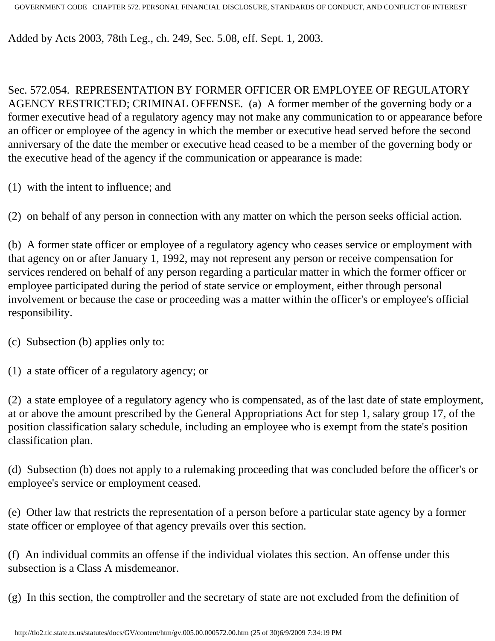Added by Acts 2003, 78th Leg., ch. 249, Sec. 5.08, eff. Sept. 1, 2003.

Sec. 572.054. REPRESENTATION BY FORMER OFFICER OR EMPLOYEE OF REGULATORY AGENCY RESTRICTED; CRIMINAL OFFENSE. (a) A former member of the governing body or a former executive head of a regulatory agency may not make any communication to or appearance before an officer or employee of the agency in which the member or executive head served before the second anniversary of the date the member or executive head ceased to be a member of the governing body or the executive head of the agency if the communication or appearance is made:

(1) with the intent to influence; and

(2) on behalf of any person in connection with any matter on which the person seeks official action.

(b) A former state officer or employee of a regulatory agency who ceases service or employment with that agency on or after January 1, 1992, may not represent any person or receive compensation for services rendered on behalf of any person regarding a particular matter in which the former officer or employee participated during the period of state service or employment, either through personal involvement or because the case or proceeding was a matter within the officer's or employee's official responsibility.

(c) Subsection (b) applies only to:

(1) a state officer of a regulatory agency; or

(2) a state employee of a regulatory agency who is compensated, as of the last date of state employment, at or above the amount prescribed by the General Appropriations Act for step 1, salary group 17, of the position classification salary schedule, including an employee who is exempt from the state's position classification plan.

(d) Subsection (b) does not apply to a rulemaking proceeding that was concluded before the officer's or employee's service or employment ceased.

(e) Other law that restricts the representation of a person before a particular state agency by a former state officer or employee of that agency prevails over this section.

(f) An individual commits an offense if the individual violates this section. An offense under this subsection is a Class A misdemeanor.

(g) In this section, the comptroller and the secretary of state are not excluded from the definition of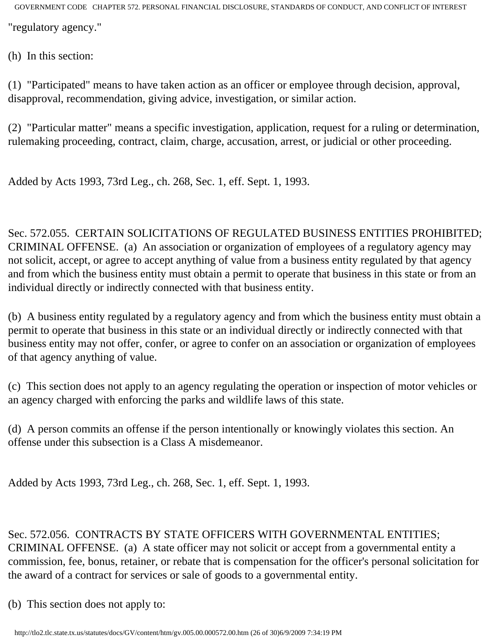(h) In this section:

(1) "Participated" means to have taken action as an officer or employee through decision, approval, disapproval, recommendation, giving advice, investigation, or similar action.

(2) "Particular matter" means a specific investigation, application, request for a ruling or determination, rulemaking proceeding, contract, claim, charge, accusation, arrest, or judicial or other proceeding.

Added by Acts 1993, 73rd Leg., ch. 268, Sec. 1, eff. Sept. 1, 1993.

Sec. 572.055. CERTAIN SOLICITATIONS OF REGULATED BUSINESS ENTITIES PROHIBITED; CRIMINAL OFFENSE. (a) An association or organization of employees of a regulatory agency may not solicit, accept, or agree to accept anything of value from a business entity regulated by that agency and from which the business entity must obtain a permit to operate that business in this state or from an individual directly or indirectly connected with that business entity.

(b) A business entity regulated by a regulatory agency and from which the business entity must obtain a permit to operate that business in this state or an individual directly or indirectly connected with that business entity may not offer, confer, or agree to confer on an association or organization of employees of that agency anything of value.

(c) This section does not apply to an agency regulating the operation or inspection of motor vehicles or an agency charged with enforcing the parks and wildlife laws of this state.

(d) A person commits an offense if the person intentionally or knowingly violates this section. An offense under this subsection is a Class A misdemeanor.

Added by Acts 1993, 73rd Leg., ch. 268, Sec. 1, eff. Sept. 1, 1993.

## Sec. 572.056. CONTRACTS BY STATE OFFICERS WITH GOVERNMENTAL ENTITIES; CRIMINAL OFFENSE. (a) A state officer may not solicit or accept from a governmental entity a commission, fee, bonus, retainer, or rebate that is compensation for the officer's personal solicitation for the award of a contract for services or sale of goods to a governmental entity.

(b) This section does not apply to: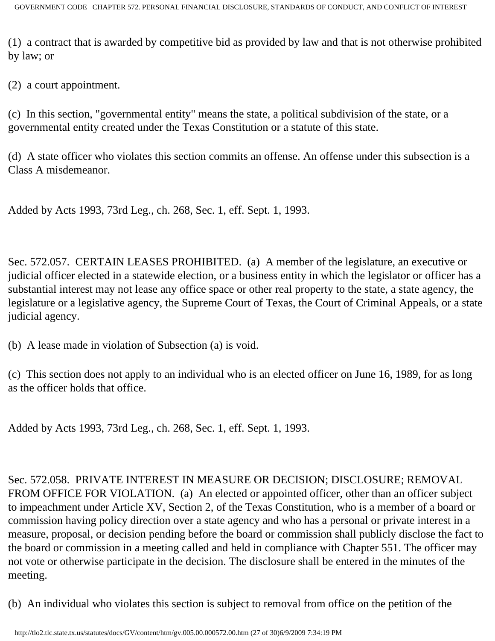(1) a contract that is awarded by competitive bid as provided by law and that is not otherwise prohibited by law; or

(2) a court appointment.

(c) In this section, "governmental entity" means the state, a political subdivision of the state, or a governmental entity created under the Texas Constitution or a statute of this state.

(d) A state officer who violates this section commits an offense. An offense under this subsection is a Class A misdemeanor.

Added by Acts 1993, 73rd Leg., ch. 268, Sec. 1, eff. Sept. 1, 1993.

Sec. 572.057. CERTAIN LEASES PROHIBITED. (a) A member of the legislature, an executive or judicial officer elected in a statewide election, or a business entity in which the legislator or officer has a substantial interest may not lease any office space or other real property to the state, a state agency, the legislature or a legislative agency, the Supreme Court of Texas, the Court of Criminal Appeals, or a state judicial agency.

(b) A lease made in violation of Subsection (a) is void.

(c) This section does not apply to an individual who is an elected officer on June 16, 1989, for as long as the officer holds that office.

Added by Acts 1993, 73rd Leg., ch. 268, Sec. 1, eff. Sept. 1, 1993.

Sec. 572.058. PRIVATE INTEREST IN MEASURE OR DECISION; DISCLOSURE; REMOVAL FROM OFFICE FOR VIOLATION. (a) An elected or appointed officer, other than an officer subject to impeachment under Article XV, Section 2, of the Texas Constitution, who is a member of a board or commission having policy direction over a state agency and who has a personal or private interest in a measure, proposal, or decision pending before the board or commission shall publicly disclose the fact to the board or commission in a meeting called and held in compliance with Chapter 551. The officer may not vote or otherwise participate in the decision. The disclosure shall be entered in the minutes of the meeting.

(b) An individual who violates this section is subject to removal from office on the petition of the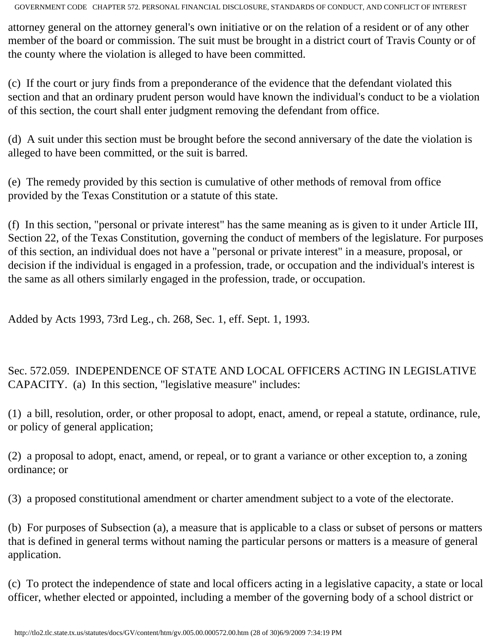attorney general on the attorney general's own initiative or on the relation of a resident or of any other member of the board or commission. The suit must be brought in a district court of Travis County or of the county where the violation is alleged to have been committed.

(c) If the court or jury finds from a preponderance of the evidence that the defendant violated this section and that an ordinary prudent person would have known the individual's conduct to be a violation of this section, the court shall enter judgment removing the defendant from office.

(d) A suit under this section must be brought before the second anniversary of the date the violation is alleged to have been committed, or the suit is barred.

(e) The remedy provided by this section is cumulative of other methods of removal from office provided by the Texas Constitution or a statute of this state.

(f) In this section, "personal or private interest" has the same meaning as is given to it under Article III, Section 22, of the Texas Constitution, governing the conduct of members of the legislature. For purposes of this section, an individual does not have a "personal or private interest" in a measure, proposal, or decision if the individual is engaged in a profession, trade, or occupation and the individual's interest is the same as all others similarly engaged in the profession, trade, or occupation.

Added by Acts 1993, 73rd Leg., ch. 268, Sec. 1, eff. Sept. 1, 1993.

Sec. 572.059. INDEPENDENCE OF STATE AND LOCAL OFFICERS ACTING IN LEGISLATIVE CAPACITY. (a) In this section, "legislative measure" includes:

(1) a bill, resolution, order, or other proposal to adopt, enact, amend, or repeal a statute, ordinance, rule, or policy of general application;

(2) a proposal to adopt, enact, amend, or repeal, or to grant a variance or other exception to, a zoning ordinance; or

(3) a proposed constitutional amendment or charter amendment subject to a vote of the electorate.

(b) For purposes of Subsection (a), a measure that is applicable to a class or subset of persons or matters that is defined in general terms without naming the particular persons or matters is a measure of general application.

(c) To protect the independence of state and local officers acting in a legislative capacity, a state or local officer, whether elected or appointed, including a member of the governing body of a school district or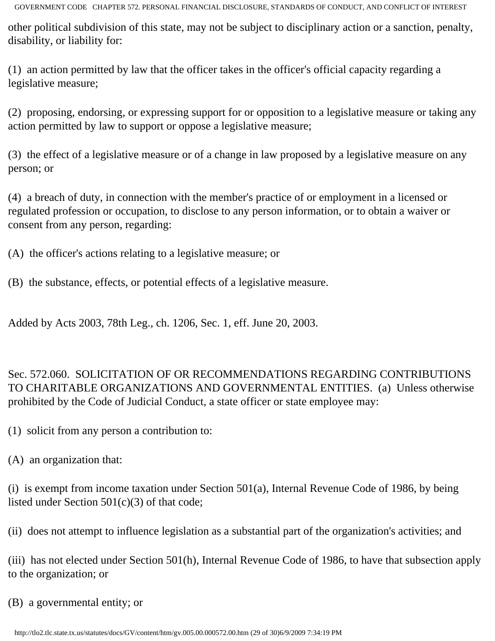other political subdivision of this state, may not be subject to disciplinary action or a sanction, penalty, disability, or liability for:

(1) an action permitted by law that the officer takes in the officer's official capacity regarding a legislative measure;

(2) proposing, endorsing, or expressing support for or opposition to a legislative measure or taking any action permitted by law to support or oppose a legislative measure;

(3) the effect of a legislative measure or of a change in law proposed by a legislative measure on any person; or

(4) a breach of duty, in connection with the member's practice of or employment in a licensed or regulated profession or occupation, to disclose to any person information, or to obtain a waiver or consent from any person, regarding:

(A) the officer's actions relating to a legislative measure; or

(B) the substance, effects, or potential effects of a legislative measure.

Added by Acts 2003, 78th Leg., ch. 1206, Sec. 1, eff. June 20, 2003.

Sec. 572.060. SOLICITATION OF OR RECOMMENDATIONS REGARDING CONTRIBUTIONS TO CHARITABLE ORGANIZATIONS AND GOVERNMENTAL ENTITIES. (a) Unless otherwise prohibited by the Code of Judicial Conduct, a state officer or state employee may:

(1) solicit from any person a contribution to:

(A) an organization that:

(i) is exempt from income taxation under Section 501(a), Internal Revenue Code of 1986, by being listed under Section 501(c)(3) of that code;

(ii) does not attempt to influence legislation as a substantial part of the organization's activities; and

(iii) has not elected under Section 501(h), Internal Revenue Code of 1986, to have that subsection apply to the organization; or

(B) a governmental entity; or